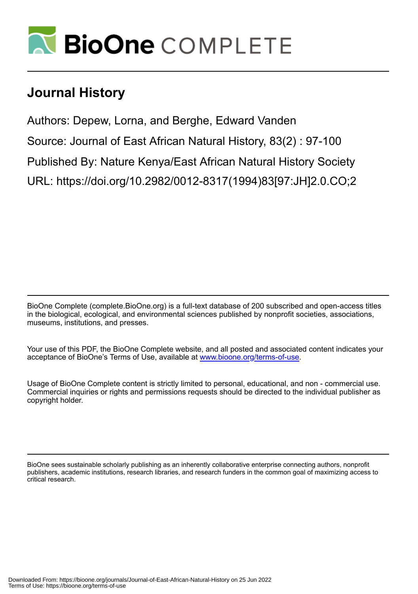

## **Journal History**

Authors: Depew, Lorna, and Berghe, Edward Vanden Source: Journal of East African Natural History, 83(2) : 97-100 Published By: Nature Kenya/East African Natural History Society URL: https://doi.org/10.2982/0012-8317(1994)83[97:JH]2.0.CO;2

BioOne Complete (complete.BioOne.org) is a full-text database of 200 subscribed and open-access titles in the biological, ecological, and environmental sciences published by nonprofit societies, associations, museums, institutions, and presses.

Your use of this PDF, the BioOne Complete website, and all posted and associated content indicates your acceptance of BioOne's Terms of Use, available at www.bioone.org/terms-of-use.

Usage of BioOne Complete content is strictly limited to personal, educational, and non - commercial use. Commercial inquiries or rights and permissions requests should be directed to the individual publisher as copyright holder.

BioOne sees sustainable scholarly publishing as an inherently collaborative enterprise connecting authors, nonprofit publishers, academic institutions, research libraries, and research funders in the common goal of maximizing access to critical research.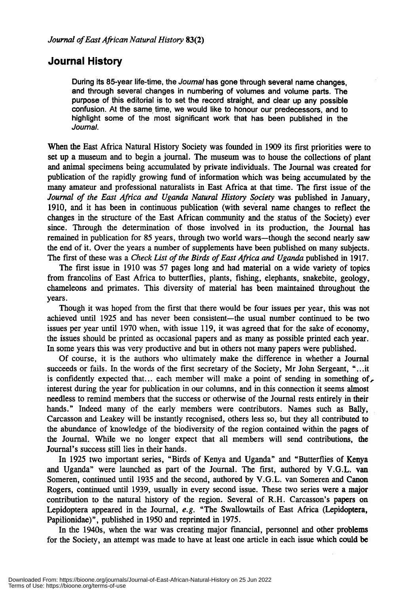## **Journal History**

During its 85-year life-time, the Journal has gone through several name changes, and through several changes in numbering of volumes and volume parts. The purpose of this editorial is to set the record straight, and clear up any possible confusion. At the same time, we would like to honour our predecessors, and to highlight some of the most significant work that has been published in the Journal.

When the East Africa Natural History Society was founded in 1909 its first priorities were to set up a museum and to begin a journal. The museum was to house the collections of plant and animal specimens being accumulated by private individuals. The Journal was created for publication of the rapidly growing fund of information which was being accumulated by the many amateur and professional naturalists in East Africa at that time. The first issue of the *Journal of the East Africa and Uganda Natural History Society* was published in January, 1910, and it has been in continuous publication (with several name changes to reflect the changes in the structure of the East African community and the status of the Society) ever since. Through the determination of those involved in its production, the Journal has remained in publication for 85 years, through two world wars-though the second nearly saw the end of it. Over the years a number of supplements have been published on many subjects. The first of these was a *Check List of the Birds of East Africa and Uganda* published in 1917.

The first issue in 1910 was 57 pages long and had material on a wide variety of topics from francolins of East Africa to butterflies, plants, fishing, elephants, snakebite, geology, chameleons and primates. This diversity of material has been maintained throughout the years.

Though it was hoped from the first that there would be four issues per year, this was not achieved until 1925 and has never been consistent-the usual number continued to be two issues per year until 1970 when, with issue 119, it was agreed that for the sake of economy, the issues should be printed as occasional papers and as many as possible printed each year. In some years this was very productive and but in others not many papers were published.

Of course, it is the authors who ultimately make the difference in whether a Journal succeeds or fails. In the words of the first secretary of the Society, Mr John Sergeant, "...it is confidently expected that... each member will make a point of sending in something of, interest during the year for publication in our columns, and in this connection it seems almost needless to remind members that the success or otherwise of the Journal rests entirely in their hands." Indeed many of the early members were contributors. Names such as Bally, Carcasson and Leakey will be instantly recognised, others less so, but they all contributed to the abundance of knowledge of the biodiversity of the region contained within the pages of the Journal. While we no longer expect that all members will send contributions, the Journal's success still lies in their hands.

In 1925 two important series, "Birds of Kenya and Uganda" and "Butterflies of Kenya and Uganda" were launched as part of the Journal. The first, authored by V.G.L. van Someren, continued until 1935 and the second, authored by V.G.L. van Someren and Canon Rogers, continued until 1939, usually in every second issue. These two series were a major contribution to the natural history of the region. Several of R.H. Carcasson's papers on Lepidoptera appeared in the Journal, *e.g.* "The Swallowtails of East Africa (Lepidoptera, Papilionidae)", published in 1950 and reprinted in 1975.

In the 1940s, when the war was creating major fmancial, personnel and other problems for the Society, an attempt was made to have at least one article in each issue which could be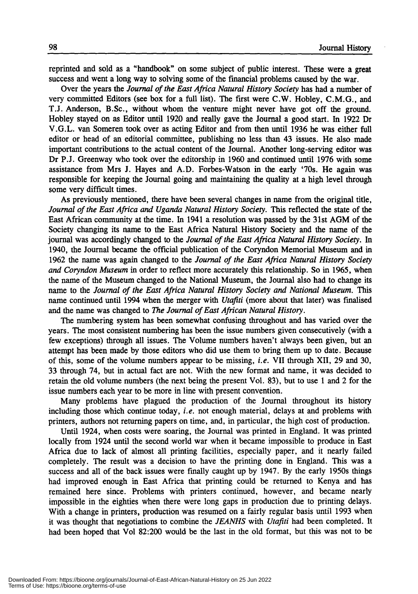reprinted and sold as a "handbook" on some subject of public interest. These were a great success and went a long way to solving some of the fmancial problems caused by the war.

Over the years the *Journal of the East Africa Natural History Society* has had a number of very committed Editors (see box for a full list). The first were C.W. Hobley, C.M.G., and T.J. Anderson, B.Sc., without whom the venture might never have got off the ground. Hobley stayed on as Editor until 1920 and really gave the Journal a good start. In 1922 Dr V .G. L. van Someren took over as acting Editor and from then until 1936 he was either full editor or head of an editorial committee, publishing no less than 43 issues. He also made important contributions to the actual content of the Journal. Another long-serving editor was Dr PJ. Greenway who took over the editorship in 1960 and continued until 1976 with some assistance from Mrs J. Hayes and A.D. Forbes-Watson in the early '70s. He again was responsible for keeping the Journal going and maintaining the quality at a high level through some very difficult times.

As previously mentioned, there have been several changes in name from the original title, *Journal of the East Africa and Uganda Natural History Society.* This reflected the state of the East African community at the time. In 1941 a resolution was passed by the 31st AGM of the Society changing its name to the East Africa Natural History Society and the name of the journal was accordingly changed to the *Journal of the East Africa Natural History Society.* In 1940, the Journal became the official publication of the Coryndon Memorial Museum and in 1962 the name was again changed to the *Journal of the East Africa Natural History Society and Coryndon Museum* in order to reflect more accurately this relationship. So in 1965, when the name of the Museum changed to the National Museum, the Journal also had to change its name to the *Journal of the East Africa Natural History Society and National Museum.* This name continued until 1994 when the merger with *Utafiti* (more about that later) was fmalised and the name was changed to *The Journal of East African Natural History.*

The numbering system has been somewhat confusing throughout and has varied over the years. The most consistent numbering has been the issue numbers given consecutively (with a few exceptions) through all issues. The Volume numbers haven't always been given, but an attempt has been made by those editors who did use them to bring them up to date. Because of this, some of the volume numbers appear to be missing, *i.e.* VII through XII, 29 and 30, 33 through 74, but in actual fact are not. With the new format and name, it was decided to retain the old volume numbers (the next being the present Vol. 83), but to use 1 and 2 for the issue numbers each year to be more in line with present convention.

Many problems have plagued the production of the Journal throughout its history including those which continue today, *i.e.* not enough material, delays at and problems with printers, authors not returning papers on time, and, in particular, the high cost of production.

Until 1924, when costs were soaring, the Journal was printed in England. It was printed locally from 1924 until the second world war when it became impossible to produce in East Africa due to lack of almost all printing facilities, especially paper, and it nearly failed completely. The result was a decision to have the printing done in England. This was a success and all of the back issues were finally caught up by 1947. By the early 1950s things had improved enough in East Africa that printing could be returned to Kenya and has remained here since. Problems with printers continued, however, and became nearly impossible in the eighties when there were long gaps in production due to printing delays. With a change in printers, production was resumed on a fairly regular basis until 1993 when it was thought that negotiations to combine the *JEANHS* with *Utafiti* had been completed. It had been hoped that Vol 82:200 would be the last in the old format, but this was not to be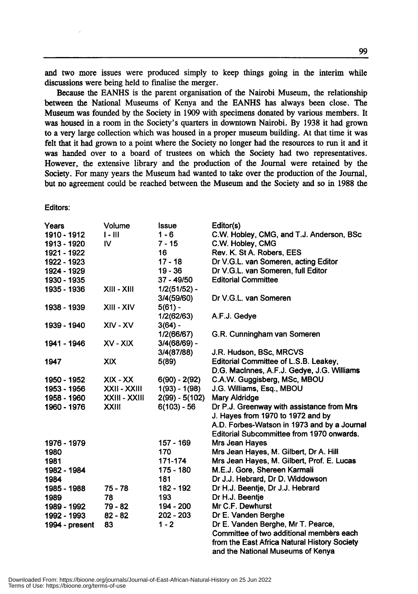and two more issues were produced simply to keep things going in the interim while discussions were being held to fmalise the merger.

Because the EANHS is the parent organisation of the Nairobi Museum, the relationship between the National Museums of Kenya and the EANHS has always been close. The Museum was founded by the Society in 1909 with specimens donated by various members. It was housed in a room in the Society's quarters in downtown Nairobi. By 1938 it had grown to a very large collection which was housed in a proper museum building. At that time it was felt that it had grown to a point where the Society no longer had the resources to run it and it was handed over to a board of trustees on which the Society had two representatives. However, the extensive library and the production of the Journal were retained by the Society. For many years the Museum had wanted to take over the production of the Journal, but no agreement could be reached between the Museum and the Society and so in 1988 the

| Editors:       |               |                  |                                              |
|----------------|---------------|------------------|----------------------------------------------|
| Years          | Volume        | <b>Issue</b>     | Editor(s)                                    |
| 1910 - 1912    | $1 - 111$     | $1 - 6$          | C.W. Hobley, CMG, and T.J. Anderson, BSc.    |
| 1913 - 1920    | IV.           | $7 - 15$         | C.W. Hobley, CMG                             |
| 1921 - 1922    |               | 16               | Rev. K. St A. Robers, EES                    |
| 1922 - 1923    |               | $17 - 18$        | Dr V.G.L. van Someren, acting Editor         |
| 1924 - 1929    |               | $19 - 36$        | Dr V.G.L. van Someren, full Editor           |
| 1930 - 1935    |               | $37 - 49/50$     | <b>Editorial Committee</b>                   |
| 1935 - 1936    | XIII - XIII   | $1/2(51/52)$ -   |                                              |
|                |               | 3/4(59/60)       | Dr V.G.L. van Someren                        |
| 1938 - 1939    | XIII - XIV    | $5(61) -$        |                                              |
|                |               | 1/2(62/63)       | A.F.J. Gedye                                 |
| 1939 - 1940    | XIV - XV      | $3(64) -$        |                                              |
|                |               | 1/2(66/67)       | G.R. Cunningham van Someren                  |
| 1941 - 1946    | XV - XIX      | $3/4(68/69)$ -   |                                              |
|                |               | 3/4(87/88)       | J.R. Hudson, BSc, MRCVS                      |
| 1947           | XIX           | 5(89)            | Editorial Committee of L.S.B. Leakey,        |
|                |               |                  | D.G. MacInnes, A.F.J. Gedye, J.G. Williams   |
| 1950 - 1952    | XIX - XX      | $6(90) - 2(92)$  | C.A.W. Guggisberg, MSc, MBOU                 |
| 1953 - 1956    | XXII - XXIII  | $1(93) - 1(98)$  | J.G. Williams, Esq., MBOU                    |
| 1958 - 1960    | XXIII - XXIII | $2(99) - 5(102)$ | <b>Mary Aldridge</b>                         |
| 1960 - 1976    | <b>XXIII</b>  | $6(103) - 56$    | Dr P.J. Greenway with assistance from Mrs    |
|                |               |                  | J. Hayes from 1970 to 1972 and by            |
|                |               |                  | A.D. Forbes-Watson in 1973 and by a Journal  |
|                |               |                  | Editorial Subcommittee from 1970 onwards.    |
| 1976 - 1979    |               | $157 - 169$      | Mrs Jean Hayes                               |
| 1980           |               | 170              | Mrs Jean Hayes, M. Gilbert, Dr A. Hill       |
| 1981           |               | 171-174          | Mrs Jean Hayes, M. Gilbert, Prof. E. Lucas   |
| 1982 - 1984    |               | 175 - 180        | M.E.J. Gore, Shereen Karmali                 |
| 1984           |               | 181              | Dr J.J. Hebrard, Dr D. Widdowson             |
| 1985 - 1988    | $75 - 78$     | 182 - 192        | Dr H.J. Beentje, Dr J.J. Hebrard             |
| 1989           | 78            | 193              | Dr H.J. Beentje                              |
| 1989 - 1992    | 79 - 82       | 194 - 200        | Mr C.F. Dewhurst                             |
| 1992 - 1993    | $82 - 82$     | $202 - 203$      | Dr E. Vanden Berghe                          |
| 1994 - present | 83            | $1 - 2$          | Dr E. Vanden Berghe, Mr T. Pearce,           |
|                |               |                  | Committee of two additional members each     |
|                |               |                  | from the East Africa Natural History Society |
|                |               |                  | and the National Museums of Kenva            |